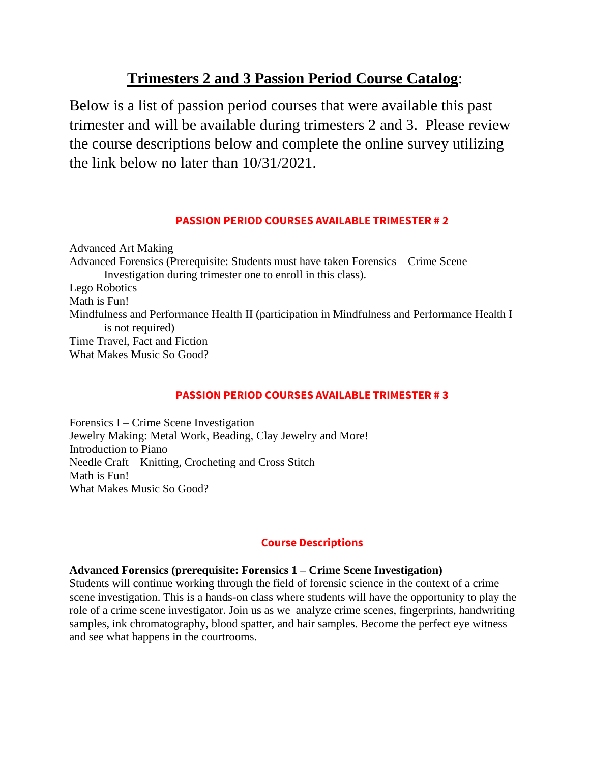# **Trimesters 2 and 3 Passion Period Course Catalog**:

Below is a list of passion period courses that were available this past trimester and will be available during trimesters 2 and 3. Please review the course descriptions below and complete the online survey utilizing the link below no later than 10/31/2021.

# **PASSION PERIOD COURSES AVAILABLE TRIMESTER # 2**

Advanced Art Making Advanced Forensics (Prerequisite: Students must have taken Forensics – Crime Scene Investigation during trimester one to enroll in this class). Lego Robotics Math is Fun! Mindfulness and Performance Health II (participation in Mindfulness and Performance Health I is not required) Time Travel, Fact and Fiction What Makes Music So Good?

## **PASSION PERIOD COURSES AVAILABLE TRIMESTER # 3**

Forensics I – Crime Scene Investigation Jewelry Making: Metal Work, Beading, Clay Jewelry and More! Introduction to Piano Needle Craft – Knitting, Crocheting and Cross Stitch Math is Fun! What Makes Music So Good?

# **Course Descriptions**

## **Advanced Forensics (prerequisite: Forensics 1 – Crime Scene Investigation)**

Students will continue working through the field of forensic science in the context of a crime scene investigation. This is a hands-on class where students will have the opportunity to play the role of a crime scene investigator. Join us as we analyze crime scenes, fingerprints, handwriting samples, ink chromatography, blood spatter, and hair samples. Become the perfect eye witness and see what happens in the courtrooms.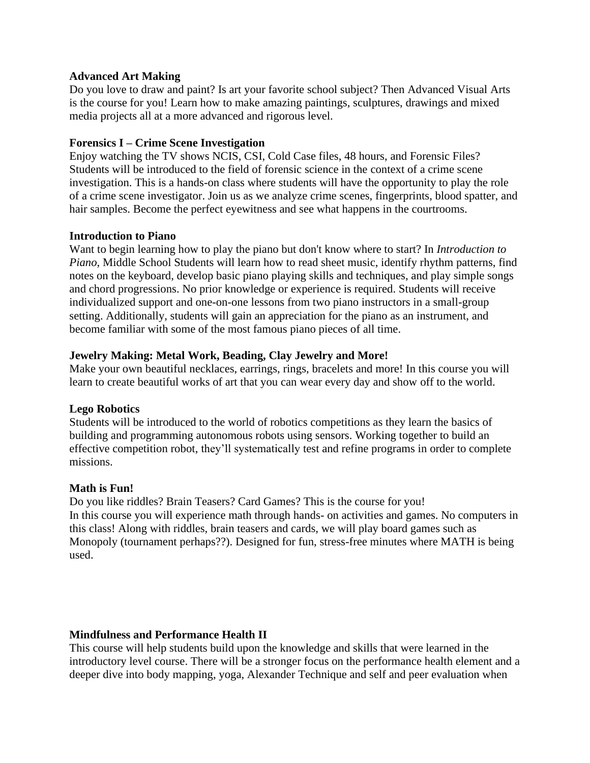#### **Advanced Art Making**

Do you love to draw and paint? Is art your favorite school subject? Then Advanced Visual Arts is the course for you! Learn how to make amazing paintings, sculptures, drawings and mixed media projects all at a more advanced and rigorous level.

#### **Forensics I – Crime Scene Investigation**

Enjoy watching the TV shows NCIS, CSI, Cold Case files, 48 hours, and Forensic Files? Students will be introduced to the field of forensic science in the context of a crime scene investigation. This is a hands-on class where students will have the opportunity to play the role of a crime scene investigator. Join us as we analyze crime scenes, fingerprints, blood spatter, and hair samples. Become the perfect eyewitness and see what happens in the courtrooms.

#### **Introduction to Piano**

Want to begin learning how to play the piano but don't know where to start? In *Introduction to Piano*, Middle School Students will learn how to read sheet music, identify rhythm patterns, find notes on the keyboard, develop basic piano playing skills and techniques, and play simple songs and chord progressions. No prior knowledge or experience is required. Students will receive individualized support and one-on-one lessons from two piano instructors in a small-group setting. Additionally, students will gain an appreciation for the piano as an instrument, and become familiar with some of the most famous piano pieces of all time.

#### **Jewelry Making: Metal Work, Beading, Clay Jewelry and More!**

Make your own beautiful necklaces, earrings, rings, bracelets and more! In this course you will learn to create beautiful works of art that you can wear every day and show off to the world.

#### **Lego Robotics**

Students will be introduced to the world of robotics competitions as they learn the basics of building and programming autonomous robots using sensors. Working together to build an effective competition robot, they'll systematically test and refine programs in order to complete missions.

#### **Math is Fun!**

Do you like riddles? Brain Teasers? Card Games? This is the course for you! In this course you will experience math through hands- on activities and games. No computers in this class! Along with riddles, brain teasers and cards, we will play board games such as Monopoly (tournament perhaps??). Designed for fun, stress-free minutes where MATH is being used.

#### **Mindfulness and Performance Health II**

This course will help students build upon the knowledge and skills that were learned in the introductory level course. There will be a stronger focus on the performance health element and a deeper dive into body mapping, yoga, Alexander Technique and self and peer evaluation when